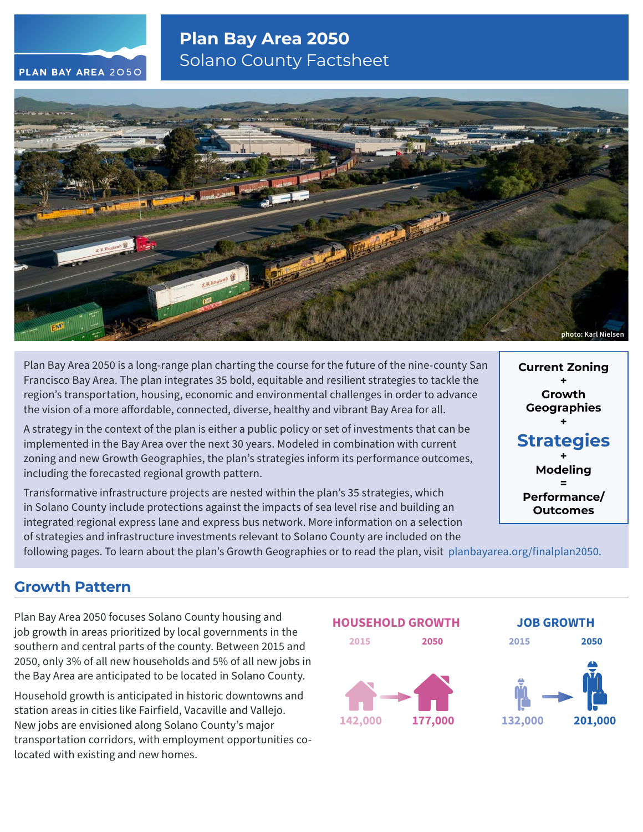## **Plan Bay Area 2050** Solano County Factsheet





Plan Bay Area 2050 is a long-range plan charting the course for the future of the nine-county San Francisco Bay Area. The plan integrates 35 bold, equitable and resilient strategies to tackle the region's transportation, housing, economic and environmental challenges in order to advance the vision of a more affordable, connected, diverse, healthy and vibrant Bay Area for all.

A strategy in the context of the plan is either a public policy or set of investments that can be implemented in the Bay Area over the next 30 years. Modeled in combination with current zoning and new Growth Geographies, the plan's strategies inform its performance outcomes, including the forecasted regional growth pattern.

Transformative infrastructure projects are nested within the plan's 35 strategies, which in Solano County include protections against the impacts of sea level rise and building an integrated regional express lane and express bus network. More information on a selection of strategies and infrastructure investments relevant to Solano County are included on the

**Current Zoning + Growth Geographies + Strategies + Modeling = Performance/**

**Outcomes**

following pages. To learn about the plan's Growth Geographies or to read the plan, visit [planbayarea.org/finalplan2050.](https://www.planbayarea.org/finalplan2050)

## **Growth Pattern**

Plan Bay Area 2050 focuses Solano County housing and job growth in areas prioritized by local governments in the southern and central parts of the county. Between 2015 and 2050, only 3% of all new households and 5% of all new jobs in the Bay Area are anticipated to be located in Solano County.

Household growth is anticipated in historic downtowns and station areas in cities like Fairfield, Vacaville and Vallejo. New jobs are envisioned along Solano County's major transportation corridors, with employment opportunities colocated with existing and new homes.

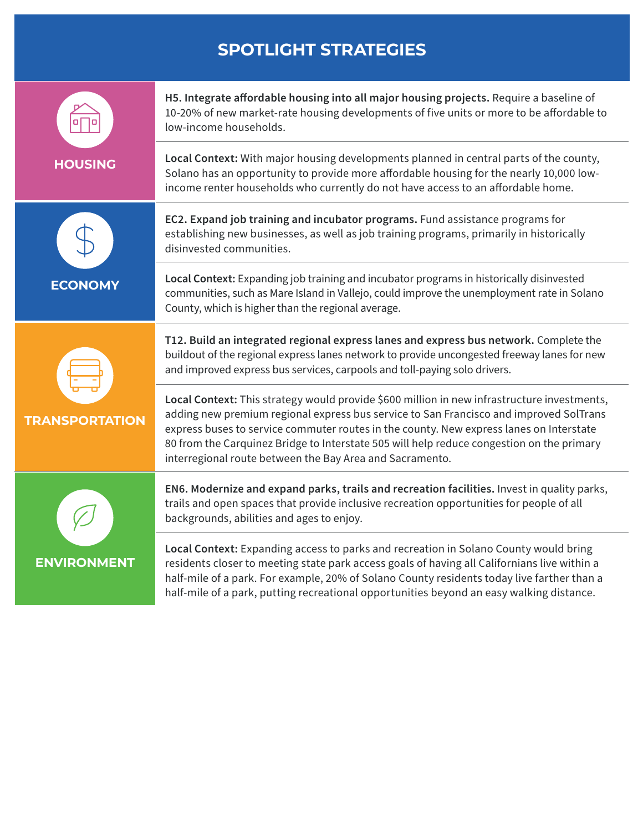# **SPOTLIGHT STRATEGIES**

|                       | H5. Integrate affordable housing into all major housing projects. Require a baseline of<br>10-20% of new market-rate housing developments of five units or more to be affordable to<br>low-income households.                                                                                                                                                                                                                             |
|-----------------------|-------------------------------------------------------------------------------------------------------------------------------------------------------------------------------------------------------------------------------------------------------------------------------------------------------------------------------------------------------------------------------------------------------------------------------------------|
| <b>HOUSING</b>        | Local Context: With major housing developments planned in central parts of the county,<br>Solano has an opportunity to provide more affordable housing for the nearly 10,000 low-<br>income renter households who currently do not have access to an affordable home.                                                                                                                                                                     |
|                       | EC2. Expand job training and incubator programs. Fund assistance programs for<br>establishing new businesses, as well as job training programs, primarily in historically<br>disinvested communities.                                                                                                                                                                                                                                     |
| <b>ECONOMY</b>        | Local Context: Expanding job training and incubator programs in historically disinvested<br>communities, such as Mare Island in Vallejo, could improve the unemployment rate in Solano<br>County, which is higher than the regional average.                                                                                                                                                                                              |
| <b>TRANSPORTATION</b> | T12. Build an integrated regional express lanes and express bus network. Complete the<br>buildout of the regional express lanes network to provide uncongested freeway lanes for new<br>and improved express bus services, carpools and toll-paying solo drivers.                                                                                                                                                                         |
|                       | Local Context: This strategy would provide \$600 million in new infrastructure investments,<br>adding new premium regional express bus service to San Francisco and improved SolTrans<br>express buses to service commuter routes in the county. New express lanes on Interstate<br>80 from the Carquinez Bridge to Interstate 505 will help reduce congestion on the primary<br>interregional route between the Bay Area and Sacramento. |
|                       | EN6. Modernize and expand parks, trails and recreation facilities. Invest in quality parks,<br>trails and open spaces that provide inclusive recreation opportunities for people of all<br>backgrounds, abilities and ages to enjoy.                                                                                                                                                                                                      |
| <b>ENVIRONMENT</b>    | Local Context: Expanding access to parks and recreation in Solano County would bring<br>residents closer to meeting state park access goals of having all Californians live within a<br>half-mile of a park. For example, 20% of Solano County residents today live farther than a<br>half-mile of a park, putting recreational opportunities beyond an easy walking distance.                                                            |